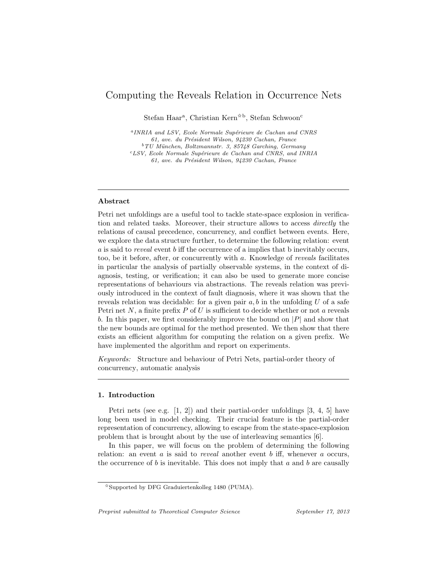# Computing the Reveals Relation in Occurrence Nets

Stefan Haar<sup>a</sup>, Christian Kern<sup> $\hat{\star}$ b, Stefan Schwoon<sup>c</sup></sup>

<sup>a</sup>INRIA and LSV, Ecole Normale Supérieure de Cachan and CNRS 61, ave. du Président Wilson, 94230 Cachan, France  $^{b}$  TU München, Boltzmannstr. 3, 85748 Garching, Germany  ${}^{c}LSV$ , Ecole Normale Supérieure de Cachan and CNRS, and INRIA 61, ave. du Président Wilson, 94230 Cachan, France

# Abstract

Petri net unfoldings are a useful tool to tackle state-space explosion in verification and related tasks. Moreover, their structure allows to access directly the relations of causal precedence, concurrency, and conflict between events. Here, we explore the data structure further, to determine the following relation: event  $a$  is said to *reveal* event  $b$  iff the occurrence of a implies that  $b$  inevitably occurs, too, be it before, after, or concurrently with a. Knowledge of reveals facilitates in particular the analysis of partially observable systems, in the context of diagnosis, testing, or verification; it can also be used to generate more concise representations of behaviours via abstractions. The reveals relation was previously introduced in the context of fault diagnosis, where it was shown that the reveals relation was decidable: for a given pair  $a, b$  in the unfolding  $U$  of a safe Petri net  $N$ , a finite prefix  $P$  of  $U$  is sufficient to decide whether or not  $\alpha$  reveals b. In this paper, we first considerably improve the bound on  $|P|$  and show that the new bounds are optimal for the method presented. We then show that there exists an efficient algorithm for computing the relation on a given prefix. We have implemented the algorithm and report on experiments.

Keywords: Structure and behaviour of Petri Nets, partial-order theory of concurrency, automatic analysis

#### 1. Introduction

Petri nets (see e.g. [1, 2]) and their partial-order unfoldings [3, 4, 5] have long been used in model checking. Their crucial feature is the partial-order representation of concurrency, allowing to escape from the state-space-explosion problem that is brought about by the use of interleaving semantics [6].

In this paper, we will focus on the problem of determining the following relation: an event  $a$  is said to *reveal* another event  $b$  iff, whenever  $a$  occurs, the occurrence of  $b$  is inevitable. This does not imply that  $a$  and  $b$  are causally

Preprint submitted to Theoretical Computer Science September 17, 2013

<sup>✩</sup>Supported by DFG Graduiertenkolleg 1480 (PUMA).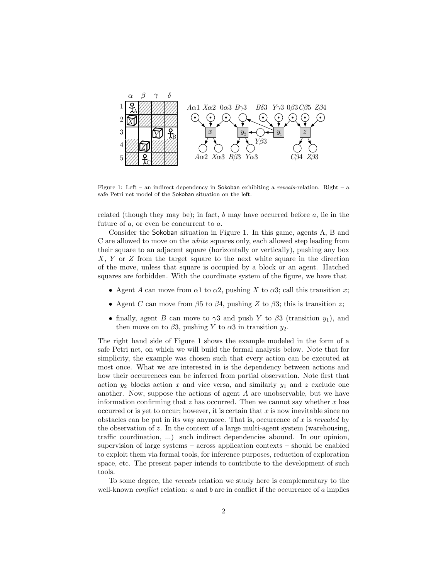

Figure 1: Left – an indirect dependency in Sokoban exhibiting a reveals-relation. Right – a safe Petri net model of the Sokoban situation on the left.

related (though they may be); in fact,  $b$  may have occurred before  $a$ , lie in the future of  $a$ , or even be concurrent to  $a$ .

Consider the Sokoban situation in Figure 1. In this game, agents A, B and C are allowed to move on the white squares only, each allowed step leading from their square to an adjacent square (horizontally or vertically), pushing any box  $X, Y$  or  $Z$  from the target square to the next white square in the direction of the move, unless that square is occupied by a block or an agent. Hatched squares are forbidden. With the coordinate system of the figure, we have that

- Agent A can move from  $\alpha$ 1 to  $\alpha$ 2, pushing X to  $\alpha$ 3; call this transition x;
- Agent C can move from  $\beta$ 5 to  $\beta$ 4, pushing Z to  $\beta$ 3; this is transition z;
- finally, agent B can move to  $\gamma 3$  and push Y to  $\beta 3$  (transition  $y_1$ ), and then move on to  $\beta 3$ , pushing Y to  $\alpha 3$  in transition  $y_2$ .

The right hand side of Figure 1 shows the example modeled in the form of a safe Petri net, on which we will build the formal analysis below. Note that for simplicity, the example was chosen such that every action can be executed at most once. What we are interested in is the dependency between actions and how their occurrences can be inferred from partial observation. Note first that action  $y_2$  blocks action  $x$  and vice versa, and similarly  $y_1$  and  $z$  exclude one another. Now, suppose the actions of agent  $A$  are unobservable, but we have information confirming that  $z$  has occurred. Then we cannot say whether  $x$  has occurred or is yet to occur; however, it is certain that  $x$  is now inevitable since no obstacles can be put in its way anymore. That is, occurrence of  $x$  is revealed by the observation of  $z$ . In the context of a large multi-agent system (warehousing, traffic coordination, ...) such indirect dependencies abound. In our opinion, supervision of large systems – across application contexts – should be enabled to exploit them via formal tools, for inference purposes, reduction of exploration space, etc. The present paper intends to contribute to the development of such tools.

To some degree, the reveals relation we study here is complementary to the well-known *conflict* relation:  $a$  and  $b$  are in conflict if the occurrence of  $a$  implies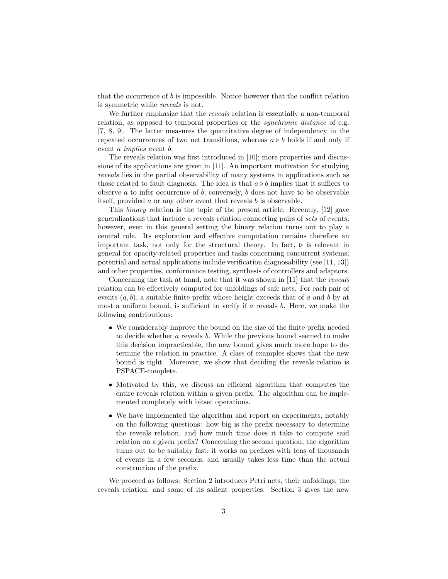that the occurrence of  $b$  is impossible. Notice however that the conflict relation is symmetric while reveals is not.

We further emphasize that the *reveals* relation is essentially a non-temporal relation, as opposed to temporal properties or the *synchronic distance* of e.g. [7, 8, 9]. The latter measures the quantitative degree of independency in the repeated occurrences of two net transitions, whereas  $a \triangleright b$  holds if and only if event *a implies* event *b*.

The reveals relation was first introduced in [10]; more properties and discussions of its applications are given in [11]. An important motivation for studying reveals lies in the partial observability of many systems in applications such as those related to fault diagnosis. The idea is that  $a \triangleright b$  implies that it suffices to observe  $a$  to infer occurrence of  $b$ ; conversely,  $b$  does not have to be observable itself, provided  $a$  or any other event that reveals  $b$  is observable.

This binary relation is the topic of the present article. Recently, [12] gave generalizations that include a reveals relation connecting pairs of sets of events; however, even in this general setting the binary relation turns out to play a central role. Its exploration and effective computation remains therefore an important task, not only for the structural theory. In fact,  $\triangleright$  is relevant in general for opacity-related properties and tasks concerning concurrent systems; potential and actual applications include verification diagnosability (see [11, 13]) and other properties, conformance testing, synthesis of controllers and adaptors.

Concerning the task at hand, note that it was shown in [11] that the reveals relation can be effectively computed for unfoldings of safe nets. For each pair of events  $(a, b)$ , a suitable finite prefix whose height exceeds that of a and b by at most a uniform bound, is sufficient to verify if  $a$  reveals  $b$ . Here, we make the following contributions:

- ∙ We considerably improve the bound on the size of the finite prefix needed to decide whether a reveals b. While the previous bound seemed to make this decision impracticable, the new bound gives much more hope to determine the relation in practice. A class of examples shows that the new bound is tight. Moreover, we show that deciding the reveals relation is PSPACE-complete.
- ∙ Motivated by this, we discuss an efficient algorithm that computes the entire reveals relation within a given prefix. The algorithm can be implemented completely with bitset operations.
- ∙ We have implemented the algorithm and report on experiments, notably on the following questions: how big is the prefix necessary to determine the reveals relation, and how much time does it take to compute said relation on a given prefix? Concerning the second question, the algorithm turns out to be suitably fast; it works on prefixes with tens of thousands of events in a few seconds, and usually takes less time than the actual construction of the prefix.

We proceed as follows: Section 2 introduces Petri nets, their unfoldings, the reveals relation, and some of its salient properties. Section 3 gives the new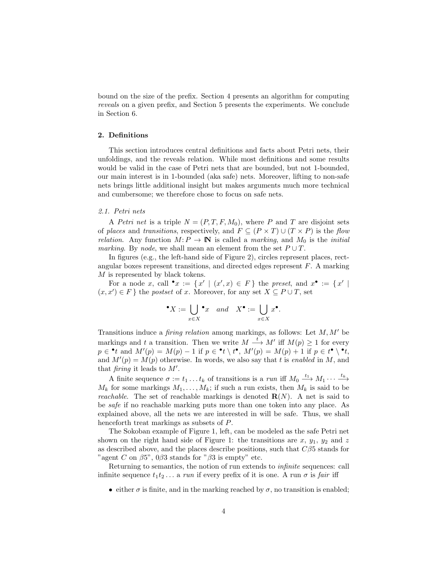bound on the size of the prefix. Section 4 presents an algorithm for computing reveals on a given prefix, and Section 5 presents the experiments. We conclude in Section 6.

# 2. Definitions

This section introduces central definitions and facts about Petri nets, their unfoldings, and the reveals relation. While most definitions and some results would be valid in the case of Petri nets that are bounded, but not 1-bounded, our main interest is in 1-bounded (aka safe) nets. Moreover, lifting to non-safe nets brings little additional insight but makes arguments much more technical and cumbersome; we therefore chose to focus on safe nets.

#### 2.1. Petri nets

A Petri net is a triple  $N = (P, T, F, M_0)$ , where P and T are disjoint sets of places and transitions, respectively, and  $F \subseteq (P \times T) \cup (T \times P)$  is the flow relation. Any function  $M: P \to \mathbb{N}$  is called a *marking*, and  $M_0$  is the *initial* marking. By node, we shall mean an element from the set  $P \cup T$ .

In figures (e.g., the left-hand side of Figure 2), circles represent places, rectangular boxes represent transitions, and directed edges represent  $F$ . A marking  $M$  is represented by black tokens.

For a node  $x$ , call  $\cdot x := \{x' \mid (x', x) \in F\}$  the preset, and  $x \cdot := \{x' \mid$  $(x,x')\in F$ } the *postset* of  $x$ . Moreover, for any set  $X\subseteq P\cup T$ , set

$$
\bullet X := \bigcup_{x \in X} \bullet x \quad and \quad X^{\bullet} := \bigcup_{x \in X} x^{\bullet}.
$$

Transitions induce a *firing relation* among markings, as follows: Let  $M, M'$  be markings and t a transition. Then we write  $M \xrightarrow{t} M'$  iff  $M(p) \geq 1$  for every  $p \in \mathbf{e}$  and  $M'(p) = M(p) - 1$  if  $p \in \mathbf{e} \setminus \mathbf{e}$ ,  $M'(p) = M(p) + 1$  if  $p \in \mathbf{e} \setminus \mathbf{e}$ , and  $M'(p) = M(p)$  otherwise. In words, we also say that t is enabled in M, and that *firing* it leads to  $M'$ .

A finite sequence  $\sigma := t_1 \dots t_k$  of transitions is a run iff  $M_0 \stackrel{t_1}{\longrightarrow} M_1 \cdots \stackrel{t_k}{\longrightarrow}$  $M_k$  for some markings  $M_1, \ldots, M_k$ ; if such a run exists, then  $M_k$  is said to be *reachable.* The set of reachable markings is denoted  $\mathbf{R}(N)$ . A net is said to be safe if no reachable marking puts more than one token into any place. As explained above, all the nets we are interested in will be safe. Thus, we shall henceforth treat markings as subsets of P.

The Sokoban example of Figure 1, left, can be modeled as the safe Petri net shown on the right hand side of Figure 1: the transitions are x,  $y_1$ ,  $y_2$  and z as described above, and the places describe positions, such that  $C\beta5$  stands for "agent C on  $\beta$ 5", 0 $\beta$ 3 stands for " $\beta$ 3 is empty" etc.

Returning to semantics, the notion of run extends to infinite sequences: call infinite sequence  $t_1t_2 \ldots$  a run if every prefix of it is one. A run  $\sigma$  is fair iff

• either  $\sigma$  is finite, and in the marking reached by  $\sigma$ , no transition is enabled;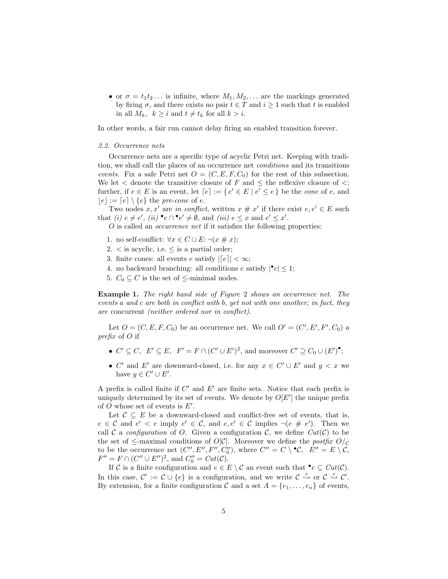• or  $\sigma = t_1 t_2 \dots$  is infinite, where  $M_1, M_2, \dots$  are the markings generated by firing  $\sigma$ , and there exists no pair  $t \in T$  and  $i \geq 1$  such that t is enabled in all  $M_k$ ,  $k \geq i$  and  $t \neq t_k$  for all  $k > i$ .

In other words, a fair run cannot delay firing an enabled transition forever.

#### 2.2. Occurrence nets

Occurrence nets are a specific type of acyclic Petri net. Keeping with tradition, we shall call the places of an occurrence net conditions and its transitions events. Fix a safe Petri net  $O = (C, E, F, C_0)$  for the rest of this subsection. We let  $\lt$  denote the transitive closure of F and  $\lt$  the reflexive closure of  $\lt$ ; further, if  $e \in E$  is an event, let  $\lceil e \rceil := \{ e' \in E \mid e' \le e \}$  be the *cone* of  $e$ , and  $|e| := [e] \setminus \{e\}$  the pre-cone of e.

Two nodes  $x, x'$  are in conflict, written  $x \# x'$  if there exist  $e, e' \in E$  such that (i)  $e \neq e'$ , (ii)  $\bullet e \cap \bullet e' \neq \emptyset$ , and (iii)  $e \leq x$  and  $e' \leq x'$ .

 $O$  is called an *occurrence net* if it satisfies the following properties:

- 1. no self-conflict:  $\forall x \in C \cup E$ :  $\neg(x \# x)$ ;
- 2.  $\lt$  is acyclic, i.e.  $\leq$  is a partial order;
- 3. finite cones: all events  $e$  satisfy  $|[e]| < \infty;$
- 4. no backward branching: all conditions  $c$  satisfy  $|{}^{\bullet}c| \leq 1$ ;
- 5.  $C_0 \subseteq C$  is the set of  $\le$ -minimal nodes.

Example 1. The right hand side of Figure 2 shows an occurrence net. The events a and c are both in conflict with b, yet not with one another; in fact, they are concurrent (neither ordered nor in conflict).

Let  $O = (C, E, F, C_0)$  be an occurrence net. We call  $O' = (C', E', F', C_0)$  a prefix of  $O$  if

- $C' \subseteq C$ ,  $E' \subseteq E$ ,  $F' = F \cap (C' \cup E')^2$ , and moreover  $C' \supseteq C_0 \cup (E')^{\bullet}$ ;
- $C'$  and  $E'$  are downward-closed, i.e. for any  $x \in C' \cup E'$  and  $y < x$  we have  $y \in C' \cup E'$ .

A prefix is called finite if  $C'$  and  $E'$  are finite sets. Notice that each prefix is uniquely determined by its set of events. We denote by  $O[E']$  the unique prefix of  $O$  whose set of events is  $E'$ .

Let  $\mathcal{C} \subseteq E$  be a downward-closed and conflict-free set of events, that is,  $e \in \mathcal{C}$  and  $e' < e$  imply  $e' \in \mathcal{C}$ , and  $e, e' \in \mathcal{C}$  implies  $\neg(e \# e')$ . Then we call C a configuration of O. Given a configuration C, we define  $Cut(\mathcal{C})$  to be the set of  $\leq$ -maximal conditions of  $O[\mathcal{C}]$ . Moreover we define the *postfix*  $O/\mathcal{C}$ to be the occurrence net  $(C'', E'', F'', C_0'')$ , where  $C'' = C \setminus C$ ,  $E'' = E \setminus C$ ,  $F'' = F \cap (C'' \cup E'')^2$ , and  $C''_0 = Cut(C)$ .

If  $\mathcal C$  is a finite configuration and  $e \in E \setminus \mathcal C$  an event such that  $\bigcirc^{\bullet} e \subseteq Cut(\mathcal C)$ . In this case,  $\mathcal{C}' := \mathcal{C} \cup \{e\}$  is a configuration, and we write  $\mathcal{C} \stackrel{e}{\leadsto} \mathcal{C}'$  or  $\mathcal{C} \stackrel{e}{\leadsto} \mathcal{C}'$ . By extension, for a finite configuration  $\mathcal C$  and a set  $A = \{e_1, \ldots, e_n\}$  of events,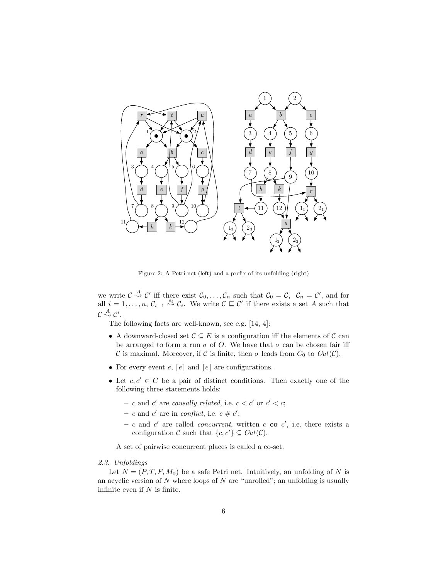

Figure 2: A Petri net (left) and a prefix of its unfolding (right)

we write  $\mathcal{C} \stackrel{A}{\rightsquigarrow} \mathcal{C}'$  iff there exist  $\mathcal{C}_0, \ldots, \mathcal{C}_n$  such that  $\mathcal{C}_0 = \mathcal{C}, \ \mathcal{C}_n = \mathcal{C}'$ , and for all  $i = 1, \ldots, n$ ,  $C_{i-1} \stackrel{e_i}{\rightsquigarrow} C_i$ . We write  $C \sqsubseteq C'$  if there exists a set A such that  $\mathcal{C} \stackrel{A}{\leadsto} \mathcal{C}'$ .

The following facts are well-known, see e.g. [14, 4]:

- A downward-closed set  $\mathcal{C} \subseteq E$  is a configuration iff the elements of  $\mathcal{C}$  can be arranged to form a run  $\sigma$  of O. We have that  $\sigma$  can be chosen fair iff C is maximal. Moreover, if C is finite, then  $\sigma$  leads from  $C_0$  to  $Cut(\mathcal{C})$ .
- For every event  $e$ ,  $\lceil e \rceil$  and  $\lfloor e \rfloor$  are configurations.
- Let  $c, c' \in C$  be a pair of distinct conditions. Then exactly one of the following three statements holds:
	- c and c' are causally related, i.e.  $c < c'$  or  $c' < c$ ;
	- c and c' are in conflict, i.e.  $c \neq c'$ ;
	- c and c' are called *concurrent*, written c co c', i.e. there exists a configuration  $\mathcal C$  such that  $\{c, c'\} \subseteq Cut(\mathcal C)$ .

A set of pairwise concurrent places is called a co-set.

# 2.3. Unfoldings

Let  $N = (P, T, F, M_0)$  be a safe Petri net. Intuitively, an unfolding of N is an acyclic version of  $N$  where loops of  $N$  are "unrolled"; an unfolding is usually infinite even if  $N$  is finite.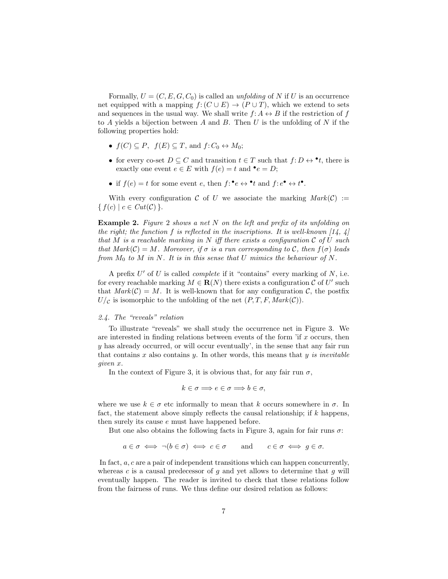Formally,  $U = (C, E, G, C_0)$  is called an *unfolding* of N if U is an occurrence net equipped with a mapping  $f: (C \cup E) \to (P \cup T)$ , which we extend to sets and sequences in the usual way. We shall write  $f: A \leftrightarrow B$  if the restriction of f to  $A$  yields a bijection between  $A$  and  $B$ . Then  $U$  is the unfolding of  $N$  if the following properties hold:

- $f(C) \subseteq P$ ,  $f(E) \subseteq T$ , and  $f: C_0 \leftrightarrow M_0$ ;
- for every co-set  $D \subseteq C$  and transition  $t \in T$  such that  $f: D \leftrightarrow \bullet t$ , there is exactly one event  $e \in E$  with  $f(e) = t$  and  $\bullet e = D$ ;
- if  $f(e) = t$  for some event  $e$ , then  $f: e \leftrightarrow e^*$  and  $f: e \bullet \leftrightarrow e^*$ .

With every configuration C of U we associate the marking  $Mark(C) :=$  $\{ f(c) \mid c \in Cut(C) \}.$ 

**Example 2.** Figure 2 shows a net  $N$  on the left and prefix of its unfolding on the right; the function f is reflected in the inscriptions. It is well-known  $(14, 4)$ that M is a reachable marking in N iff there exists a configuration  $\mathcal C$  of U such that  $Mark(\mathcal{C}) = M$ . Moreover, if  $\sigma$  is a run corresponding to  $\mathcal{C}$ , then  $f(\sigma)$  leads from  $M_0$  to  $M$  in  $N$ . It is in this sense that  $U$  mimics the behaviour of  $N$ .

A prefix  $U'$  of  $U$  is called *complete* if it "contains" every marking of  $N$ , i.e. for every reachable marking  $M \in \mathbf{R}(N)$  there exists a configuration  $C$  of  $U'$  such that  $Mark(\mathcal{C}) = M$ . It is well-known that for any configuration  $\mathcal{C}$ , the postfix  $U/c$  is isomorphic to the unfolding of the net  $(P, T, F, Mark(C))$ .

# 2.4. The "reveals" relation

To illustrate "reveals" we shall study the occurrence net in Figure 3. We are interested in finding relations between events of the form  $\mathbf{r}$  if  $x$  occurs, then  $y$  has already occurred, or will occur eventually', in the sense that any fair run that contains x also contains y. In other words, this means that y is inevitable given x.

In the context of Figure 3, it is obvious that, for any fair run  $\sigma$ ,

$$
k \in \sigma \Longrightarrow e \in \sigma \Longrightarrow b \in \sigma,
$$

where we use  $k \in \sigma$  etc informally to mean that k occurs somewhere in  $\sigma$ . In fact, the statement above simply reflects the causal relationship; if  $k$  happens, then surely its cause  $e$  must have happened before.

But one also obtains the following facts in Figure 3, again for fair runs  $\sigma$ :

$$
a \in \sigma \iff \neg(b \in \sigma) \iff c \in \sigma
$$
 and  $c \in \sigma \iff g \in \sigma$ .

In fact,  $a, c$  are a pair of independent transitions which can happen concurrently, whereas  $c$  is a causal predecessor of  $g$  and yet allows to determine that  $g$  will eventually happen. The reader is invited to check that these relations follow from the fairness of runs. We thus define our desired relation as follows: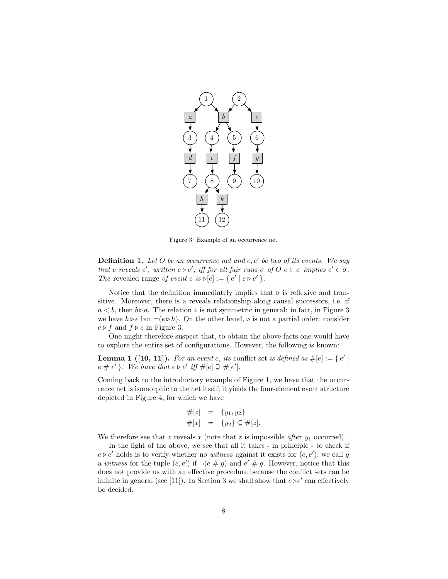

Figure 3: Example of an occurrence net

**Definition 1.** Let O be an occurrence net and  $e, e'$  be two of its events. We say that e reveals  $e'$ , written  $e \triangleright e'$ , iff for all fair runs  $\sigma$  of  $O$   $e \in \sigma$  implies  $e' \in \sigma$ . The revealed range of event  $e$  is  $\triangleright[e]:= \{e' \mid e \triangleright e'\}$ .

Notice that the definition immediately implies that  $\triangleright$  is reflexive and transitive. Moreover, there is a reveals relationship along causal successors, i.e. if  $a < b$ , then  $b \triangleright a$ . The relation  $\triangleright$  is not symmetric in general: in fact, in Figure 3 we have  $h \triangleright e$  but  $\neg(e \triangleright h)$ . On the other hand,  $\triangleright$  is not a partial order: consider  $e \triangleright f$  and  $f \triangleright e$  in Figure 3.

One might therefore suspect that, to obtain the above facts one would have to explore the entire set of configurations. However, the following is known:

**Lemma 1 ([10, 11]).** For an event e, its conflict set is defined as  $\#[e] := \{e' \mid$  $e \# e'$  }. We have that  $e \triangleright e'$  iff  $\#[e] \supseteq \#[e']$ .

Coming back to the introductory example of Figure 1, we have that the occurrence net is isomorphic to the net itself; it yields the four-element event structure depicted in Figure 4, for which we have

$$
#[z] = \{y_1, y_2\} \n#[x] = \{y_2\} \subseteq #[z].
$$

We therefore see that  $z$  reveals  $x$  (note that  $z$  is impossible *after*  $y_1$  occurred).

In the light of the above, we see that all it takes - in principle - to check if  $e \triangleright e'$  holds is to verify whether no witness against it exists for  $(e, e')$ ; we call g a witness for the tuple  $(e, e')$  if  $\neg(e \# g)$  and  $e' \# g$ . However, notice that this does not provide us with an effective procedure because the conflict sets can be infinite in general (see [11]). In Section 3 we shall show that  $e \triangleright e'$  can effectively be decided.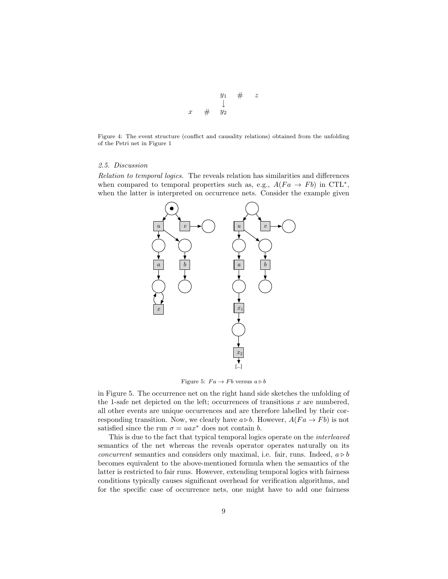$$
\begin{array}{ccccc}\n & & y_1 & \# & z \\
 & & \downarrow & & \\
x & \# & y_2 & & \n\end{array}
$$

Figure 4: The event structure (conflict and causality relations) obtained from the unfolding of the Petri net in Figure 1

## 2.5. Discussion

Relation to temporal logics. The reveals relation has similarities and differences when compared to temporal properties such as, e.g.,  $A(Fa \rightarrow Fb)$  in CTL<sup>\*</sup>, when the latter is interpreted on occurrence nets. Consider the example given



Figure 5:  $Fa \rightarrow Fb$  versus  $a \triangleright b$ 

in Figure 5. The occurrence net on the right hand side sketches the unfolding of the 1-safe net depicted on the left; occurrences of transitions  $x$  are numbered, all other events are unique occurrences and are therefore labelled by their corresponding transition. Now, we clearly have  $a \triangleright b$ . However,  $A(Fa \rightarrow Fb)$  is not satisfied since the run  $\sigma = uax^*$  does not contain *b*.

This is due to the fact that typical temporal logics operate on the *interleaved* semantics of the net whereas the reveals operator operates naturally on its concurrent semantics and considers only maximal, i.e. fair, runs. Indeed,  $a \triangleright b$ becomes equivalent to the above-mentioned formula when the semantics of the latter is restricted to fair runs. However, extending temporal logics with fairness conditions typically causes significant overhead for verification algorithms, and for the specific case of occurrence nets, one might have to add one fairness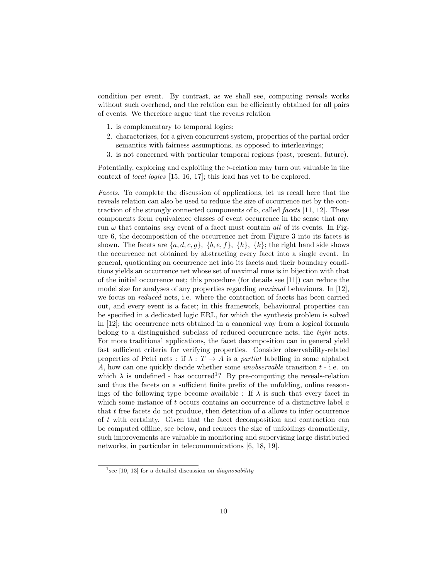condition per event. By contrast, as we shall see, computing reveals works without such overhead, and the relation can be efficiently obtained for all pairs of events. We therefore argue that the reveals relation

- 1. is complementary to temporal logics;
- 2. characterizes, for a given concurrent system, properties of the partial order semantics with fairness assumptions, as opposed to interleavings;
- 3. is not concerned with particular temporal regions (past, present, future).

Potentially, exploring and exploiting the ⊳-relation may turn out valuable in the context of local logics [15, 16, 17]; this lead has yet to be explored.

Facets. To complete the discussion of applications, let us recall here that the reveals relation can also be used to reduce the size of occurrence net by the contraction of the strongly connected components of  $\triangleright$ , called *facets* [11, 12]. These components form equivalence classes of event occurrence in the sense that any run  $\omega$  that contains any event of a facet must contain all of its events. In Figure 6, the decomposition of the occurrence net from Figure 3 into its facets is shown. The facets are  $\{a, d, c, g\}$ ,  $\{b, e, f\}$ ,  $\{h\}$ ,  $\{k\}$ ; the right hand side shows the occurrence net obtained by abstracting every facet into a single event. In general, quotienting an occurrence net into its facets and their boundary conditions yields an occurrence net whose set of maximal runs is in bijection with that of the initial occurrence net; this procedure (for details see [11]) can reduce the model size for analyses of any properties regarding maximal behaviours. In [12], we focus on reduced nets, i.e. where the contraction of facets has been carried out, and every event is a facet; in this framework, behavioural properties can be specified in a dedicated logic ERL, for which the synthesis problem is solved in [12]; the occurrence nets obtained in a canonical way from a logical formula belong to a distinguished subclass of reduced occurrence nets, the tight nets. For more traditional applications, the facet decomposition can in general yield fast sufficient criteria for verifying properties. Consider observability-related properties of Petri nets : if  $\lambda : T \to A$  is a partial labelling in some alphabet A, how can one quickly decide whether some *unobservable* transition  $t$  - i.e. on which  $\lambda$  is undefined - has occurred<sup>1</sup>? By pre-computing the reveals-relation and thus the facets on a sufficient finite prefix of the unfolding, online reasonings of the following type become available : If  $\lambda$  is such that every facet in which some instance of  $t$  occurs contains an occurrence of a distinctive label  $a$ that  $t$  free facets do not produce, then detection of  $a$  allows to infer occurrence of  $t$  with certainty. Given that the facet decomposition and contraction can be computed offline, see below, and reduces the size of unfoldings dramatically, such improvements are valuable in monitoring and supervising large distributed networks, in particular in telecommunications [6, 18, 19].

<sup>&</sup>lt;sup>1</sup> see [10, 13] for a detailed discussion on *diagnosability*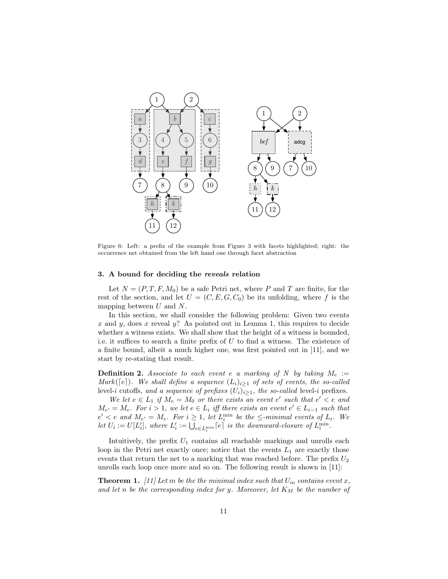

Figure 6: Left: a prefix of the example from Figure 3 with facets highlighted; right: the occurrence net obtained from the left hand one through facet abstraction

## 3. A bound for deciding the reveals relation

Let  $N = (P, T, F, M_0)$  be a safe Petri net, where P and T are finite, for the rest of the section, and let  $U = (C, E, G, C_0)$  be its unfolding, where f is the mapping between  $U$  and  $N$ .

In this section, we shall consider the following problem: Given two events x and y, does x reveal  $\psi$ ? As pointed out in Lemma 1, this requires to decide whether a witness exists. We shall show that the height of a witness is bounded, i.e. it suffices to search a finite prefix of  $U$  to find a witness. The existence of a finite bound, albeit a much higher one, was first pointed out in [11], and we start by re-stating that result.

**Definition 2.** Associate to each event e a marking of N by taking  $M_e$  := Mark( $[e]$ ). We shall define a sequence  $(L_i)_{i\geq 1}$  of sets of events, the so-called level-*i* cutoffs, and a sequence of prefixes  $(U_i)_{i\geq 1}$ , the so-called level-*i* prefixes.

We let  $e \in L_1$  if  $M_e = M_0$  or there exists an event  $e'$  such that  $e' < e$  and  $M_{e'} = M_e$ . For  $i > 1$ , we let  $e \in L_i$  iff there exists an event  $e' \in L_{i-1}$  such that  $e' < e$  and  $M_{e'} = M_e$ . For  $i \geq 1$ , let  $L_i^{\min}$  be the  $\leq$ -minimal events of  $L_i$ . We let  $U_i := U[L'_i]$ , where  $L'_i := \bigcup_{e \in L_i^{\min}} [e]$  is the downward-closure of  $L_i^{\min}$ .

Intuitively, the prefix  $U_1$  contains all reachable markings and unrolls each loop in the Petri net exactly once; notice that the events  $L_1$  are exactly those events that return the net to a marking that was reached before. The prefix  $U_2$ unrolls each loop once more and so on. The following result is shown in [11]:

**Theorem 1.** [11] Let m be the the minimal index such that  $U_m$  contains event x, and let n be the corresponding index for y. Moreover, let  $K_M$  be the number of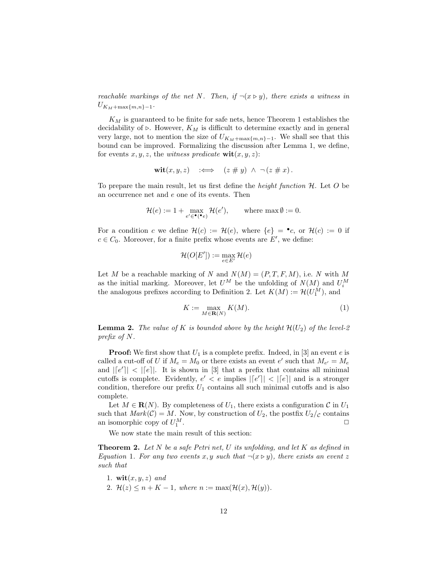reachable markings of the net N. Then, if  $\neg(x \triangleright y)$ , there exists a witness in  $U_{K_M+\max\{m,n\}-1}.$ 

 $K_M$  is guaranteed to be finite for safe nets, hence Theorem 1 establishes the decidability of ⊳. However,  $K_M$  is difficult to determine exactly and in general very large, not to mention the size of  $U_{K_M+\max\{m,n\}-1}$ . We shall see that this bound can be improved. Formalizing the discussion after Lemma 1, we define, for events  $x, y, z$ , the witness predicate  $\textbf{wit}(x, y, z)$ :

$$
\textbf{wit}(x,y,z) \quad :\Longleftrightarrow \quad (z \# y) \ \wedge \ \neg (z \# x).
$$

To prepare the main result, let us first define the *height function*  $H$ . Let  $O$  be an occurrence net and  $e$  one of its events. Then

$$
\mathcal{H}(e) := 1 + \max_{e' \in \bullet(\bullet e)} \mathcal{H}(e'), \quad \text{where } \max \emptyset := 0.
$$

For a condition c we define  $\mathcal{H}(c) := \mathcal{H}(e)$ , where  $\{e\} = \bullet c$ , or  $\mathcal{H}(c) := 0$  if  $c \in C_0$ . Moreover, for a finite prefix whose events are  $E'$ , we define:

$$
\mathcal{H}(O[E']) := \max_{e \in E'} \mathcal{H}(e)
$$

Let  $M$  be a reachable marking of  $N$  and  $N(M) = (P, T, F, M)$ , i.e.  $N$  with  $M$ as the initial marking. Moreover, let  $U^M$  be the unfolding of  $N(M)$  and  $U_i^M$ the analogous prefixes according to Definition 2. Let  $K(M) := \mathcal{H}(U_1^M)$ , and

$$
K := \max_{M \in \mathbf{R}(N)} K(M). \tag{1}
$$

**Lemma 2.** The value of K is bounded above by the height  $\mathcal{H}(U_2)$  of the level-2 prefix of  $N$ .

**Proof:** We first show that  $U_1$  is a complete prefix. Indeed, in [3] an event  $e$  is called a cut-off of U if  $M_e = M_0$  or there exists an event  $e'$  such that  $M_{e'} = M_e$ and  $|[e']| < |[e]|$ . It is shown in [3] that a prefix that contains all minimal cutoffs is complete. Evidently,  $e' < e$  implies  $\vert [e'] \vert < \vert [e] \vert$  and is a stronger condition, therefore our prefix  $U_1$  contains all such minimal cutoffs and is also complete.

Let  $M \in \mathbf{R}(N)$ . By completeness of  $U_1$ , there exists a configuration  $\mathcal{C}$  in  $U_1$ such that  $Mark(C) = M$ . Now, by construction of  $U_2$ , the postfix  $U_2/c$  contains an isomorphic copy of  $U_2^M$ . an isomorphic copy of  $U_1^M$ . □

We now state the main result of this section:

**Theorem 2.** Let  $N$  be a safe Petri net,  $U$  its unfolding, and let  $K$  as defined in Equation 1. For any two events x, y such that  $\neg(x \triangleright y)$ , there exists an event z such that

1. 
$$
\text{wit}(x, y, z)
$$
 and \n2.  $\mathcal{H}(z) \leq n + K - 1$ , where  $n := \max(\mathcal{H}(x), \mathcal{H}(y))$ .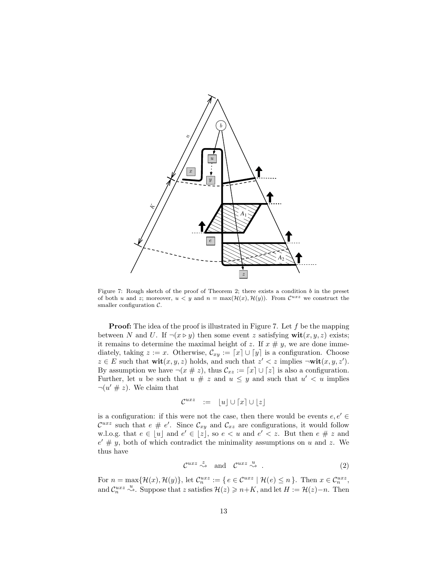

Figure 7: Rough sketch of the proof of Theorem 2; there exists a condition  $b$  in the preset of both u and z; moreover,  $u < y$  and  $n = \max(\mathcal{H}(x), \mathcal{H}(y))$ . From  $\mathcal{C}^{uxz}$  we construct the smaller configuration  $\mathcal{C}$ .

 $z \in E$  such that  $\textbf{wit}(x, y, z)$  holds, and such that  $z' < z$  implies  $\neg \textbf{wit}(x, y, z')$ . between N and U. If  $\neg(x \triangleright y)$  then some event z satisfying  $\textbf{wit}(x, y, z)$  exists; **Proof:** The idea of the proof is illustrated in Figure 7. Let  $f$  be the mapping it remains to determine the maximal height of z. If  $x \# y$ , we are done immediately, taking  $z := x$ . Otherwise,  $\mathcal{C}_{xy} := [x] \cup [y]$  is a configuration. Choose By assumption we have  $\neg(x \# z)$ , thus  $\mathcal{C}_{xz} := [x] \cup [z]$  is also a configuration. Further, let u be such that  $u \neq z$  and  $u \leq y$  and such that  $u' < u$  implies  $\neg(u' \# z)$ . We claim that

$$
\mathcal{C}^{uxz} \quad := \quad [u] \cup \lceil x \rceil \cup \lfloor z \rfloor
$$

is a configuration: if this were not the case, then there would be events  $e,e'\in$  $\mathcal{C}^{uxz}$  such that  $e \# e'$ . Since  $\mathcal{C}_{xy}$  and  $\mathcal{C}_{xz}$  are configurations, it would follow w.l.o.g. that  $e \in [u]$  and  $e' \in [z]$ , so  $e < u$  and  $e' < z$ . But then  $e \# z$  and  $e' \# y$ , both of which contradict the minimality assumptions on u and z. We thus have

$$
\mathcal{C}^{uxz} \stackrel{z}{\leadsto} \text{ and } \mathcal{C}^{uxz} \stackrel{u}{\leadsto} . \tag{2}
$$

For  $n = \max{\{\mathcal{H}(x), \mathcal{H}(y)\}},$  let  $\mathcal{C}_n^{uxz} := \{ e \in \mathcal{C}^{uxz} \mid \mathcal{H}(e) \leq n \}.$  Then  $x \in \mathcal{C}_n^{uxz}$ , and  $\mathcal{C}_n^{uxz} \stackrel{u}{\leadsto}$ . Suppose that z satisfies  $\mathcal{H}(z) \geq n+K$ , and let  $H := \mathcal{H}(z)-n$ . Then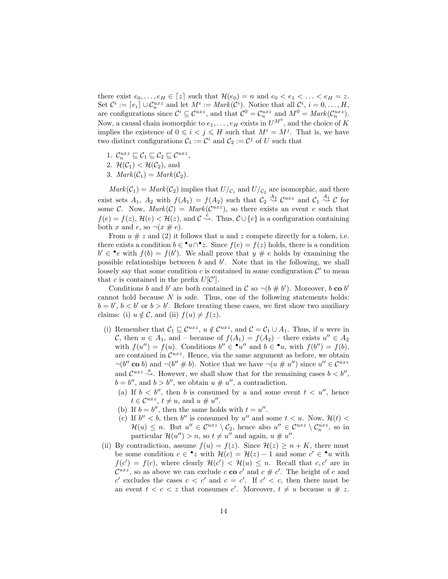there exist  $e_0, \ldots, e_H \in [z]$  such that  $\mathcal{H}(e_0) = n$  and  $e_0 < e_1 < \ldots < e_H = z$ . Set  $\mathcal{C}^i := [e_i] \cup \mathcal{C}_n^{uxz}$  and let  $M^i := Mark(\mathcal{C}^i)$ . Notice that all  $\mathcal{C}^i$ ,  $i = 0, ..., H$ , are configurations since  $\mathcal{C}^i \subseteq \mathcal{C}^{uxz}$ , and that  $\mathcal{C}^0 = \mathcal{C}_n^{uxz}$  and  $M^0 = Mark(\mathcal{C}_n^{uxz})$ . Now, a causal chain isomorphic to  $e_1, \ldots, e_H$  exists in  $U^{M^0}$ , and the choice of K implies the existence of  $0 \leq i < j \leq H$  such that  $M^i = M^j$ . That is, we have two distinct configurations  $C_1 := \mathcal{C}^i$  and  $C_2 := \mathcal{C}^j$  of U such that

- 1.  $\mathcal{C}_n^{uxz} \sqsubseteq \mathcal{C}_1 \sqsubseteq \mathcal{C}_2 \sqsubseteq \mathcal{C}^{uxz}$ ,
- 2.  $\mathcal{H}(\mathcal{C}_1) < \mathcal{H}(\mathcal{C}_2)$ , and
- 3.  $Mark(\mathcal{C}_1) = Mark(\mathcal{C}_2)$ .

 $Mark(C_1) = Mark(C_2)$  implies that  $U/c_1$  and  $U/c_2$  are isomorphic, and there exist sets  $A_1$ ,  $A_2$  with  $f(A_1) = f(A_2)$  such that  $C_2 \stackrel{A_2}{\rightsquigarrow} C^{uxz}$  and  $C_1 \stackrel{A_1}{\rightsquigarrow} C$  for some C. Now,  $Mark(C) = Mark(C^{uxz})$ , so there exists an event e such that  $f(e) = f(z),$   $\mathcal{H}(e) < \mathcal{H}(z)$ , and  $\mathcal{C} \stackrel{e}{\leadsto}$ . Thus,  $\mathcal{C} \cup \{e\}$  is a configuration containing both x and e, so  $\neg(x \# e)$ .

From  $u \# z$  and (2) it follows that  $u$  and  $z$  compete directly for a token, i.e. there exists a condition  $b \in \mathbf{P}u \cap \mathbf{P}z$ . Since  $f(e) = f(z)$  holds, there is a condition  $b' \in \bullet e$  with  $f(b) = f(b')$ . We shall prove that  $y \# e$  holds by examining the possible relationships between  $b$  and  $b'$ . Note that in the following, we shall loosely say that some condition  $c$  is contained in some configuration  $\mathcal{C}'$  to mean that c is contained in the prefix  $U[\mathcal{C}']$ .

Conditions *b* and *b'* are both contained in  $\mathcal{C}$  so  $\neg(b \# b')$ . Moreover, *b* co *b'* cannot hold because  $N$  is safe. Thus, one of the following statements holds:  $b = b', b < b'$  or  $b > b'$ . Before treating these cases, we first show two auxiliary claims: (i)  $u \notin \mathcal{C}$ , and (ii)  $f(u) \neq f(z)$ .

- (i) Remember that  $C_1 \sqsubseteq \mathcal{C}^{uxz}$ ,  $u \notin \mathcal{C}^{uxz}$ , and  $\mathcal{C} = C_1 \cup A_1$ . Thus, if u were in C, then  $u \in A_1$ , and – because of  $f(A_1) = f(A_2)$  – there exists  $u'' \in A_2$ with  $f(u'') = f(u)$ . Conditions  $b'' \in \mathbf{P}u''$  and  $b \in \mathbf{P}u$ , with  $f(b'') = f(b)$ , are contained in  $\mathcal{C}^{uxz}$ . Hence, via the same argument as before, we obtain  $\neg(b'' \text{ co } b)$  and  $\neg(b'' \neq b)$ . Notice that we have  $\neg(u \neq u'')$  since  $u'' \in C^{uxz}$ and  $\mathcal{C}^{uxz} \stackrel{u}{\sim}$ . However, we shall show that for the remaining cases  $b < b''$ ,  $b = b''$ , and  $b > b''$ , we obtain  $u \neq u''$ , a contradiction.
	- (a) If  $b < b''$ , then b is consumed by u and some event  $t < u''$ , hence  $t \in \mathcal{C}^{uxz}, t \neq u$ , and  $u \neq u''$ .
	- (b) If  $b = b''$ , then the same holds with  $t = u''$ .
	- (c) If  $b'' < b$ , then  $b''$  is consumed by u'' and some  $t < u$ . Now,  $\mathcal{H}(t) <$  $\mathcal{H}(u) \leq n$ . But  $u'' \in \mathcal{C}^{uxz} \setminus \mathcal{C}_2$ , hence also  $u'' \in \mathcal{C}^{uxz} \setminus \mathcal{C}_n^{uxz}$ , so in particular  $\mathcal{H}(u'') > n$ , so  $t \neq u''$  and again,  $u \neq u''$ .
- (ii) By contradiction, assume  $f(u) = f(z)$ . Since  $\mathcal{H}(z) \geq n + K$ , there must be some condition  $c \in \cdot z$  with  $\mathcal{H}(c) = \mathcal{H}(z) - 1$  and some  $c' \in \cdot u$  with  $f(c') = f(c)$ , where clearly  $\mathcal{H}(c') < \mathcal{H}(u) \leq n$ . Recall that  $c, c'$  are in  $\mathcal{C}^{uxz}$ , so as above we can exclude  $c \mathbf{co} c'$  and  $c \# c'$ . The height of  $c$  and c' excludes the cases  $c < c'$  and  $c = c'$ . If  $c' < c$ , then there must be an event  $t < c < z$  that consumes  $c'$ . Moreover,  $t \neq u$  because  $u \neq z$ .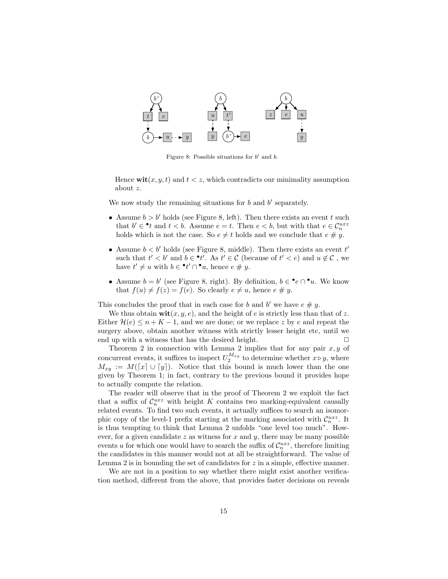

Figure 8: Possible situations for  $b'$  and  $b$ .

Hence  $\textbf{wit}(x, y, t)$  and  $t < z$ , which contradicts our minimality assumption about z.

We now study the remaining situations for  $b$  and  $b'$  separately.

- x  $\frac{1}{2}$  x  $\frac{1}{2}$  x  $\frac{1}{2}$  x  $\frac{1}{2}$  x  $\frac{1}{2}$  x  $\frac{1}{2}$  x  $\frac{1}{2}$  x  $\frac{1}{2}$  x  $\frac{1}{2}$  x  $\frac{1}{2}$  x  $\frac{1}{2}$  x  $\frac{1}{2}$  x  $\frac{1}{2}$  x  $\frac{1}{2}$  x  $\frac{1}{2}$  x  $\frac{1}{2}$  x  $\frac{1}{2}$  x  $\frac{1}{2}$  x  $\frac$ • Assume  $b > b'$  holds (see Figure 8, left). Then there exists an event  $t$  such y y y holds which is not the case. So  $e \neq t$  holds and we conclude that  $e \# \overset{n}{y}$ . that  $b' \in \mathcal{L}$  and  $t < b$ . Assume  $e = t$ . Then  $e < b$ , but with that  $e \in \mathcal{C}_n^{ux}$
- such that  $v \leq v$  and  $v \in v$ . As  $v \in \mathcal{C}$  (be<br>have  $t' \neq u$  with  $b \in \mathbf{e}t' \cap \mathbf{e}u$ , hence  $e \neq y$ . such that  $t' < b'$  and  $b \in \mathcal{H}'$ . As  $t' \in \mathcal{C}$  (because of  $t' < e$ ) and  $u \notin \mathcal{C}$ , we • Assume  $b < b'$  holds (see Figure 8, middle). Then there exists an event  $t'$
- that  $f(u) \neq f(z) = f(e)$ . So clearly  $e \neq u$ , hence  $e \neq y$ . • Assume  $b = b'$  (see Figure 8, right). By definition,  $b \in \cdot e \cap \cdot u$ . We know

This concludes the proof that in each case for b and b' we have  $e \# y$ .

We thus obtain  $\textbf{wit}(x, y, e)$ , and the height of e is strictly less than that of z. Either  $\mathcal{H}(e) \leq n + K - 1$ , and we are done; or we replace z by e and repeat the surgery above, obtain another witness with strictly lesser height etc, until we end up with a witness that has the desired height.  $\Box$ 

Theorem 2 in connection with Lemma 2 implies that for any pair  $x, y$  of concurrent events, it suffices to inspect  $U_2^{M_{xy}}$  to determine whether  $x \triangleright y$ , where  $M_{xy} := M([x] \cup [y])$ . Notice that this bound is much lower than the one given by Theorem 1; in fact, contrary to the previous bound it provides hope to actually compute the relation.

The reader will observe that in the proof of Theorem 2 we exploit the fact that a suffix of  $\mathcal{C}_n^{uxz}$  with height K contains two marking-equivalent causally related events. To find two such events, it actually suffices to search an isomorphic copy of the level-1 prefix starting at the marking associated with  $\mathcal{C}_n^{uxz}$ . It is thus tempting to think that Lemma 2 unfolds "one level too much". However, for a given candidate  $z$  as witness for  $x$  and  $y$ , there may be many possible events u for which one would have to search the suffix of  $\mathcal{C}_n^{ux}$ , therefore limiting the candidates in this manner would not at all be straightforward. The value of Lemma 2 is in bounding the set of candidates for  $z$  in a simple, effective manner.

We are not in a position to say whether there might exist another verification method, different from the above, that provides faster decisions on reveals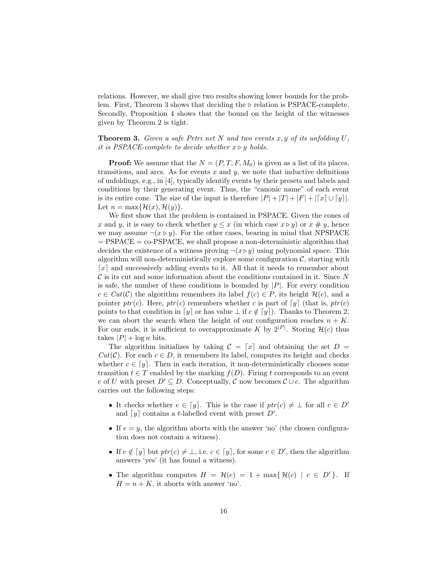relations. However, we shall give two results showing lower bounds for the problem. First, Theorem 3 shows that deciding the ⊳ relation is PSPACE-complete. Secondly, Proposition 4 shows that the bound on the height of the witnesses given by Theorem 2 is tight.

# **Theorem 3.** Given a safe Petri net N and two events x, y of its unfolding  $U$ , it is PSPACE-complete to decide whether  $x \triangleright y$  holds.

**Proof:** We assume that the  $N = (P, T, F, M_0)$  is given as a list of its places, transitions, and arcs. As for events  $x$  and  $y$ , we note that inductive definitions of unfoldings, e.g., in [4], typically identify events by their presets and labels and conditions by their generating event. Thus, the "canonic name" of each event is its entire cone. The size of the input is therefore  $|P| + |T| + |F| + |[x] \cup [y]|$ . Let  $n = \max\{\mathcal{H}(x), \mathcal{H}(y)\}.$ 

We first show that the problem is contained in PSPACE. Given the cones of x and y, it is easy to check whether  $y \leq x$  (in which case  $x \triangleright y$ ) or  $x \neq y$ , hence we may assume  $\neg(x \triangleright y)$ . For the other cases, bearing in mind that NPSPACE  $=$  PSPACE  $=$  co-PSPACE, we shall propose a non-deterministic algorithm that decides the existence of a witness proving  $\neg(x \triangleright y)$  using polynomial space. This algorithm will non-deterministically explore some configuration  $\mathcal{C}$ , starting with ⌈𝑥⌉ and successively adding events to it. All that it needs to remember about  $\mathcal C$  is its cut and some information about the conditions contained in it. Since  $N$ is safe, the number of these conditions is bounded by  $|P|$ . For every condition  $c \in Cut(\mathcal{C})$  the algorithm remembers its label  $f(c) \in P$ , its height  $\mathcal{H}(c)$ , and a pointer  $ptr(c)$ . Here,  $ptr(c)$  remembers whether c is part of  $\lceil y \rceil$  (that is,  $ptr(c)$ ) points to that condition in  $[y]$  or has value  $\bot$  if  $c \notin [y]$ . Thanks to Theorem 2, we can abort the search when the height of our configuration reaches  $n + K$ . For our ends, it is sufficient to overapproximate K by  $2^{|P|}$ . Storing  $\mathcal{H}(c)$  thus takes  $|P| + \log n$  bits.

The algorithm initializes by taking  $\mathcal{C} = [x]$  and obtaining the set  $D =$  $Cut(\mathcal{C})$ . For each  $c \in D$ , it remembers its label, computes its height and checks whether  $c \in [y]$ . Then in each iteration, it non-deterministically chooses some transition  $t \in T$  enabled by the marking  $f(D)$ . Firing t corresponds to an event e of U with preset  $D' \subseteq D$ . Conceptually, C now becomes  $\mathcal{C} \cup e$ . The algorithm carries out the following steps:

- It checks whether  $e \in [y]$ . This is the case if  $ptr(c) \neq \bot$  for all  $c \in D'$ and  $[y]$  contains a *t*-labelled event with preset  $D'$ .
- If  $e = y$ , the algorithm aborts with the answer 'no' (the chosen configuration does not contain a witness).
- If  $e \notin [y]$  but  $ptr(c) \neq \bot$ , i.e.  $c \in [y]$ , for some  $c \in D'$ , then the algorithm answers 'yes' (it has found a witness).
- The algorithm computes  $H = \mathcal{H}(e) = 1 + \max{\{\mathcal{H}(c) \mid c \in D'\}}$ . If  $H = n + K$ , it aborts with answer 'no'.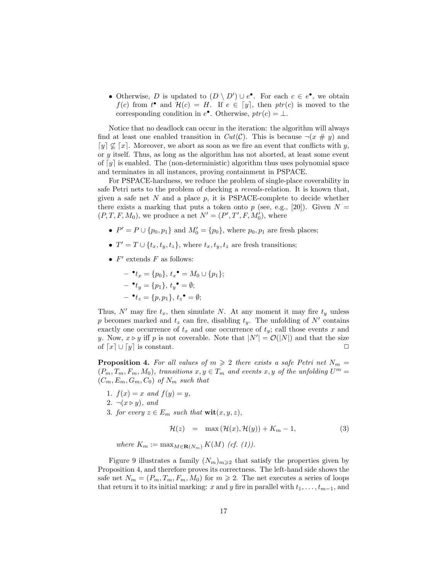• Otherwise, D is updated to  $(D \setminus D') \cup e^{\bullet}$ . For each  $c \in e^{\bullet}$ , we obtain  $f(c)$  from  $t^{\bullet}$  and  $\mathcal{H}(c) = H$ . If  $e \in [y]$ , then  $ptr(c)$  is moved to the corresponding condition in  $e^{\bullet}$ . Otherwise,  $ptr(c) = \bot$ .

Notice that no deadlock can occur in the iteration: the algorithm will always find at least one enabled transition in  $Cut(\mathcal{C})$ . This is because  $\neg(x \# y)$  and  $\lceil y \rceil \nsubseteq \lceil x \rceil$ . Moreover, we abort as soon as we fire an event that conflicts with y, or  $y$  itself. Thus, as long as the algorithm has not aborted, at least some event of  $[y]$  is enabled. The (non-deterministic) algorithm thus uses polynomial space and terminates in all instances, proving containment in PSPACE.

For PSPACE-hardness, we reduce the problem of single-place coverability in safe Petri nets to the problem of checking a reveals-relation. It is known that, given a safe net  $N$  and a place  $p$ , it is PSPACE-complete to decide whether there exists a marking that puts a token onto  $p$  (see, e.g., [20]). Given  $N =$  $(P, T, F, M_0)$ , we produce a net  $N' = (P', T', F, M'_0)$ , where

- $P' = P \cup \{p_0, p_1\}$  and  $M'_0 = \{p_0\}$ , where  $p_0, p_1$  are fresh places;
- $T' = T \cup \{t_x, t_y, t_z\}$ , where  $t_x, t_y, t_z$  are fresh transitions;
- $F'$  extends  $F$  as follows:

$$
- \bullet t_x = \{p_0\}, t_x \bullet = M_0 \cup \{p_1\};
$$
  

$$
- \bullet t_y = \{p_1\}, t_y \bullet = \emptyset;
$$
  

$$
- \bullet t_z = \{p, p_1\}, t_z \bullet = \emptyset;
$$

Thus,  $N'$  may fire  $t_x$ , then simulate  $N$ . At any moment it may fire  $t_y$  unless p becomes marked and  $t_z$  can fire, disabling  $t_y$ . The unfolding of  $N'$  contains exactly one occurrence of  $t_x$  and one occurrence of  $t_y$ ; call those events x and y. Now,  $x \triangleright y$  iff p is not coverable. Note that  $|N'| = \mathcal{O}(|N|)$  and that the size of  $[x] \cup [y]$  is constant.

**Proposition 4.** For all values of  $m \geq 2$  there exists a safe Petri net  $N_m =$  $(P_m, T_m, F_m, M_0)$ , transitions  $x, y \in T_m$  and events  $x, y$  of the unfolding  $U^m =$  $(C_m, E_m, G_m, C_0)$  of  $N_m$  such that

- 1.  $f(x) = x$  and  $f(y) = y$ , 2.  $\neg(x \triangleright y)$ , and
- 3. for every  $z \in E_m$  such that  $\textbf{wit}(x, y, z)$ ,

$$
\mathcal{H}(z) = \max(\mathcal{H}(x), \mathcal{H}(y)) + K_m - 1,\tag{3}
$$

where  $K_m := \max_{M \in \mathbf{R}(N_m)} K(M)$  (cf. (1)).

Figure 9 illustrates a family  $(N_m)_{m\geqslant 2}$  that satisfy the properties given by Proposition 4, and therefore proves its correctness. The left-hand side shows the safe net  $N_m = (P_m, T_m, K_m, M_0)$  for  $m \geq 2$ . The net executes a series of loops that return it to its initial marking: x and y fire in parallel with  $t_1, \ldots, t_{m-1}$ , and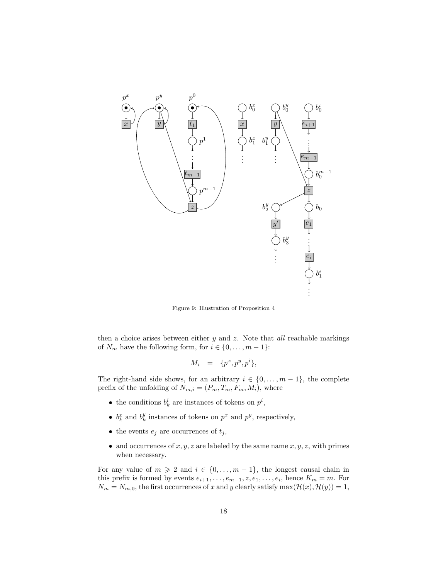

Figure 9: Illustration of Proposition 4

then a choice arises between either  $y$  and  $z$ . Note that all reachable markings of  $N_m$  have the following form, for  $i \in \{0, \ldots, m-1\}$ :

$$
M_i = \{p^x, p^y, p^i\},\
$$

The right-hand side shows, for an arbitrary  $i \in \{0, \ldots, m-1\}$ , the complete prefix of the unfolding of  $N_{m,i} = \left( {{P_m},{T_m},{M_i}} \right),$  where

- the conditions  $b_k^i$  are instances of tokens on  $p^i$ ,
- $b_k^x$  and  $b_k^y$  instances of tokens on  $p^x$  and  $p^y$ , respectively,
- the events  $e_j$  are occurrences of  $t_j$ ,
- and occurrences of  $x, y, z$  are labeled by the same name  $x, y, z$ , with primes when necessary.

For any value of  $m \geq 2$  and  $i \in \{0, ..., m-1\}$ , the longest causal chain in this prefix is formed by events  $e_{i+1}, \ldots, e_{m-1}, z, e_1, \ldots, e_i$ , hence  $K_m = m$ . For  $N_m = N_{m,0}$ , the first occurrences of x and y clearly satisfy max $(\mathcal{H}(x), \mathcal{H}(y)) = 1$ ,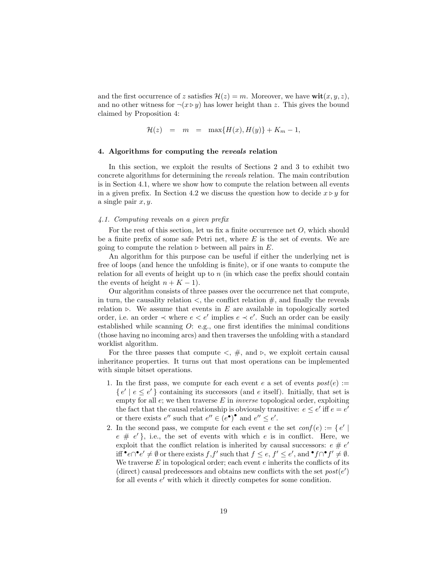and the first occurrence of z satisfies  $\mathcal{H}(z) = m$ . Moreover, we have  $\textbf{wit}(x, y, z)$ , and no other witness for  $\neg(x \triangleright y)$  has lower height than z. This gives the bound claimed by Proposition 4:

$$
\mathcal{H}(z) = m = \max\{H(x), H(y)\} + K_m - 1,
$$

# 4. Algorithms for computing the reveals relation

In this section, we exploit the results of Sections 2 and 3 to exhibit two concrete algorithms for determining the reveals relation. The main contribution is in Section 4.1, where we show how to compute the relation between all events in a given prefix. In Section 4.2 we discuss the question how to decide  $x \triangleright y$  for a single pair  $x, y$ .

#### 4.1. Computing reveals on a given prefix

For the rest of this section, let us fix a finite occurrence net  $O$ , which should be a finite prefix of some safe Petri net, where  $E$  is the set of events. We are going to compute the relation  $\triangleright$  between all pairs in E.

An algorithm for this purpose can be useful if either the underlying net is free of loops (and hence the unfolding is finite), or if one wants to compute the relation for all events of height up to  $n$  (in which case the prefix should contain the events of height  $n + K - 1$ .

Our algorithm consists of three passes over the occurrence net that compute, in turn, the causality relation  $\lt$ , the conflict relation  $\#$ , and finally the reveals relation ⊳. We assume that events in  $E$  are available in topologically sorted order, i.e. an order  $\prec$  where  $e \prec e'$  implies  $e \prec e'$ . Such an order can be easily established while scanning  $O:$  e.g., one first identifies the minimal conditions (those having no incoming arcs) and then traverses the unfolding with a standard worklist algorithm.

For the three passes that compute  $\langle , \# , \text{ and } \triangleright , \text{ we exploit certain causal}$ inheritance properties. It turns out that most operations can be implemented with simple bitset operations.

- 1. In the first pass, we compute for each event e a set of events  $post(e) :=$  $\{e' \mid e \leq e'\}$  containing its successors (and  $e$  itself). Initially, that set is empty for all  $e$ ; we then traverse  $E$  in *inverse* topological order, exploiting the fact that the causal relationship is obviously transitive:  $e \leq e'$  iff  $e = e'$ or there exists  $e''$  such that  $e'' \in (e^{\bullet})^{\bullet}$  and  $e'' \le e'$ .
- 2. In the second pass, we compute for each event  $e$  the set  $conf(e) := \{ e' |$  $e \# e'$ , i.e., the set of events with which  $e$  is in conflict. Here, we exploit that the conflict relation is inherited by causal successors:  $e \# e'$ iff  $\bullet e \cap \bullet e' \neq \emptyset$  or there exists  $f, f'$  such that  $f \leq e, f' \leq e'$ , and  $\bullet f \cap \bullet f' \neq \emptyset$ . We traverse  $E$  in topological order; each event  $e$  inherits the conflicts of its (direct) causal predecessors and obtains new conflicts with the set  $post(e')$ for all events  $e'$  with which it directly competes for some condition.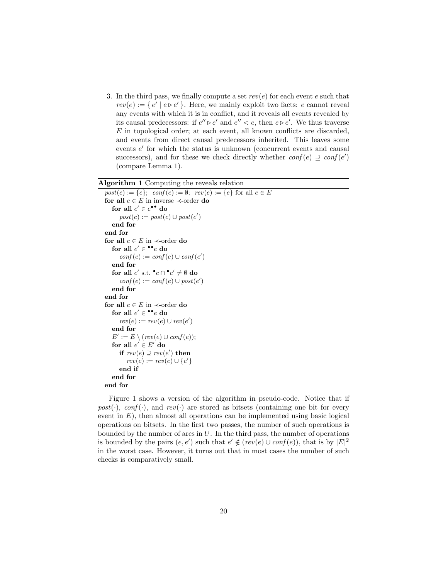3. In the third pass, we finally compute a set  $rev(e)$  for each event  $e$  such that  $rev(e) := \{ e' \mid e \triangleright e' \}$ . Here, we mainly exploit two facts:  $e$  cannot reveal any events with which it is in conflict, and it reveals all events revealed by its causal predecessors: if  $e'' \triangleright e'$  and  $e'' < e$ , then  $e \triangleright e'$ . We thus traverse  $E$  in topological order; at each event, all known conflicts are discarded, and events from direct causal predecessors inherited. This leaves some events  $e'$  for which the status is unknown (concurrent events and causal successors), and for these we check directly whether  $conf(e) \supseteq conf(e')$ (compare Lemma 1).

Algorithm 1 Computing the reveals relation

```
post(e) := \{e\}; \text{ conf}(e) := \emptyset; \text{ rev}(e) := \{e\} \text{ for all } e \in Efor all e \in E in inverse \prec order do
   for all e' \in e^{\bullet \bullet} do
       post(e) := post(e) \cup post(e')end for
end for
for all e \in E in \prec-order do
   for all e' \in \mathbf{^{\bullet}^{\bullet}e} do
       conf(e) := conf(e) \cup conf(e')end for
   for all e' s.t. \bullet e \cap \bullet e' \neq \emptyset do
       conf(e) := conf(e) \cup post(e')end for
end for
for all e \in E in \prec-order do
   for all e' \in \bullet \bullet e do
       rev(e) := rev(e) \cup rev(e')end for
   E' := E \setminus (rev(e) \cup conf(e));for all e' \in E' do
       if rev(e) \supseteq rev(e') then
          rev(e) := rev(e) \cup \{e'\}end if
   end for
end for
```
Figure 1 shows a version of the algorithm in pseudo-code. Notice that if  $post(\cdot)$ ,  $conf(\cdot)$ , and  $rev(\cdot)$  are stored as bitsets (containing one bit for every event in  $E$ ), then almost all operations can be implemented using basic logical operations on bitsets. In the first two passes, the number of such operations is bounded by the number of arcs in  $U$ . In the third pass, the number of operations is bounded by the pairs  $(e, e')$  such that  $e' \notin (rev(e) \cup conf(e))$ , that is by  $|E|^2$ in the worst case. However, it turns out that in most cases the number of such checks is comparatively small.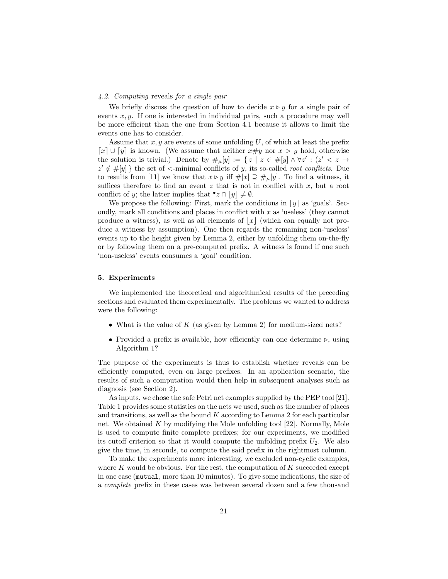## 4.2. Computing reveals for a single pair

We briefly discuss the question of how to decide  $x \triangleright y$  for a single pair of events  $x, y$ . If one is interested in individual pairs, such a procedure may well be more efficient than the one from Section 4.1 because it allows to limit the events one has to consider.

Assume that  $x, y$  are events of some unfolding U, of which at least the prefix [x] ∪ [y] is known. (We assume that neither  $x \# y$  nor  $x > y$  hold, otherwise the solution is trivial.) Denote by  $\#_\mu[y] := \{ z \mid z \in \#[y] \wedge \forall z' : (z' < z \rightarrow \emptyset) \}$  $z' \notin \#[y]$ } the set of <-minimal conflicts of y, its so-called *root conflicts*. Due to results from [11] we know that  $x \triangleright y$  iff  $\#[x] \supseteq \#_u[y]$ . To find a witness, it suffices therefore to find an event  $z$  that is not in conflict with  $x$ , but a root conflict of *y*; the latter implies that  $^{\bullet}z \cap [y] \neq \emptyset$ .

We propose the following: First, mark the conditions in  $|y|$  as 'goals'. Secondly, mark all conditions and places in conflict with  $x$  as 'useless' (they cannot produce a witness), as well as all elements of  $|x|$  (which can equally not produce a witness by assumption). One then regards the remaining non-'useless' events up to the height given by Lemma 2, either by unfolding them on-the-fly or by following them on a pre-computed prefix. A witness is found if one such 'non-useless' events consumes a 'goal' condition.

#### 5. Experiments

We implemented the theoretical and algorithmical results of the preceding sections and evaluated them experimentally. The problems we wanted to address were the following:

- What is the value of  $K$  (as given by Lemma 2) for medium-sized nets?
- ∙ Provided a prefix is available, how efficiently can one determine ⊳, using Algorithm 1?

The purpose of the experiments is thus to establish whether reveals can be efficiently computed, even on large prefixes. In an application scenario, the results of such a computation would then help in subsequent analyses such as diagnosis (see Section 2).

As inputs, we chose the safe Petri net examples supplied by the PEP tool [21]. Table 1 provides some statistics on the nets we used, such as the number of places and transitions, as well as the bound  $K$  according to Lemma 2 for each particular net. We obtained  $K$  by modifying the Mole unfolding tool [22]. Normally, Mole is used to compute finite complete prefixes; for our experiments, we modified its cutoff criterion so that it would compute the unfolding prefix  $U_2$ . We also give the time, in seconds, to compute the said prefix in the rightmost column.

To make the experiments more interesting, we excluded non-cyclic examples, where  $K$  would be obvious. For the rest, the computation of  $K$  succeeded except in one case (mutual, more than 10 minutes). To give some indications, the size of a complete prefix in these cases was between several dozen and a few thousand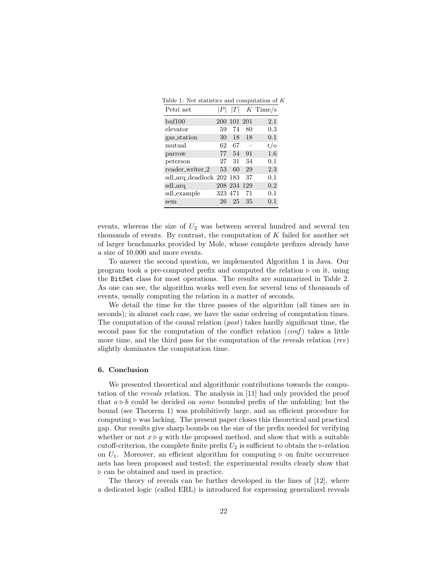| Table 1: Net statistics and computation of K |  |  |  |  |
|----------------------------------------------|--|--|--|--|
|----------------------------------------------|--|--|--|--|

| Petri net                |         | T           |    | $K$ Time/s     |
|--------------------------|---------|-------------|----|----------------|
| $\text{buf}100$          |         | 200 101 201 |    | 2.1            |
| elevator                 | 59      | 74          | 80 | 0.3            |
| gas_station              | 30      | 18          | 18 | 0.1            |
| mutual                   | 62      | 67          |    | $t/\mathrm{o}$ |
| parrow                   | 77      | 54          | 91 | 1.6            |
| peterson                 | 27      | 31          | 34 | 0.1            |
| reader_writer_2          | 53      | 60          | 29 | 2.3            |
| sdl_arq_deadlock 202 183 |         |             | 37 | 0.1            |
| sdl_arq                  |         | 208 234 129 |    | 0.2            |
| sdl_example              | 323 471 |             | 71 | 0.1            |
| sem                      | 26      | 25          | 35 | 0.1            |

events, whereas the size of  $U_2$  was between several hundred and several ten thousands of events. By contrast, the computation of  $K$  failed for another set of larger benchmarks provided by Mole, whose complete prefixes already have a size of 10,000 and more events.

To answer the second question, we implemented Algorithm 1 in Java. Our program took a pre-computed prefix and computed the relation  $\triangleright$  on it, using the BitSet class for most operations. The results are summarized in Table 2. As one can see, the algorithm works well even for several tens of thousands of events, usually computing the relation in a matter of seconds.

We detail the time for the three passes of the algorithm (all times are in seconds); in almost each case, we have the same ordering of computation times. The computation of the causal relation  $(post)$  takes hardly significant time, the second pass for the computation of the conflict relation  $(cof)$  takes a little more time, and the third pass for the computation of the reveals relation (rev) slightly dominates the computation time.

#### 6. Conclusion

We presented theoretical and algorithmic contributions towards the computation of the reveals relation. The analysis in [11] had only provided the proof that  $a \triangleright b$  could be decided on *some* bounded prefix of the unfolding; but the bound (see Theorem 1) was prohibitively large, and an efficient procedure for computing ⊳ was lacking. The present paper closes this theoretical and practical gap. Our results give sharp bounds on the size of the prefix needed for verifying whether or not  $x \triangleright y$  with the proposed method, and show that with a suitable cutoff-criterion, the complete finite prefix  $U_2$  is sufficient to obtain the ⊳-relation on  $U_1$ . Moreover, an efficient algorithm for computing ⊳ on finite occurrence nets has been proposed and tested; the experimental results clearly show that ⊳ can be obtained and used in practice.

The theory of reveals can be further developed in the lines of [12], where a dedicated logic (called ERL) is introduced for expressing generalized reveals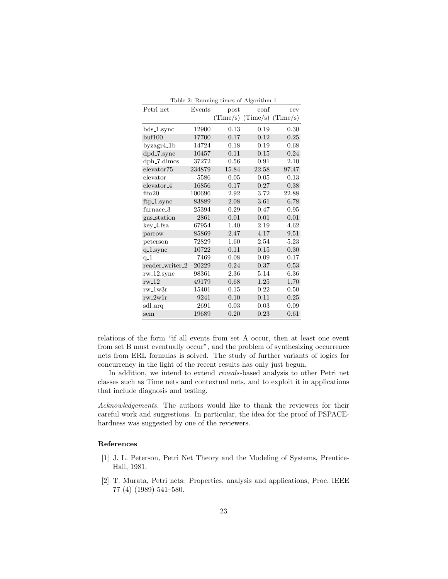|                        |        |          | Table 2: Running times of Algorithm I |          |
|------------------------|--------|----------|---------------------------------------|----------|
| Petri net              | Events | post     | conf                                  | rev      |
|                        |        |          | $(Time/s)$ $(Time/s)$ $(Time/s)$      |          |
| bds_1.sync             | 12900  | 0.13     | 0.19                                  | 0.30     |
| buf100                 | 17700  | 0.17     | 0.12                                  | $0.25\,$ |
| $byzagr4_1b$           | 14724  | 0.18     | 0.19                                  | 0.68     |
| dpd_7.sync             | 10457  | 0.11     | 0.15                                  | 0.24     |
| $dph$ -7. $d$ lmcs     | 37272  | 0.56     | 0.91                                  | 2.10     |
| $e$ levator<br>75      | 234879 | 15.84    | 22.58                                 | 97.47    |
| elevator               | 5586   | 0.05     | 0.05                                  | 0.13     |
| elevator <sub>-4</sub> | 16856  | 0.17     | 0.27                                  | 0.38     |
| fifo20                 | 100696 | 2.92     | 3.72                                  | 22.88    |
| $ftp_1.sync$           | 83889  | 2.08     | 3.61                                  | 6.78     |
| furnace_3              | 25394  | 0.29     | 0.47                                  | 0.95     |
| gas_station            | 2861   | 0.01     | 0.01                                  | 0.01     |
| key_4.fsa              | 67954  | 1.40     | 2.19                                  | 4.62     |
| parrow                 | 85869  | 2.47     | 4.17                                  | 9.51     |
| peterson               | 72829  | 1.60     | 2.54                                  | 5.23     |
| $q_{\text{-}}1$ .sync  | 10722  | 0.11     | 0.15                                  | 0.30     |
| $q_1$                  | 7469   | 0.08     | 0.09                                  | 0.17     |
| reader_writer_2        | 20229  | $0.24\,$ | 0.37                                  | 0.53     |
| $rw_12$ .sync          | 98361  | 2.36     | 5.14                                  | 6.36     |
| $rw_12$                | 49179  | 0.68     | 1.25                                  | 1.70     |
| $rw_1w3r$              | 15401  | 0.15     | 0.22                                  | 0.50     |
| $rw_2w1r$              | 9241   | 0.10     | 0.11                                  | $0.25\,$ |
| sdl_arq                | 2691   | 0.03     | 0.03                                  | 0.09     |
| sem                    | 19689  | 0.20     | 0.23                                  | 0.61     |

Table 2: Running times of Algorithm 1

relations of the form "if all events from set A occur, then at least one event from set B must eventually occur", and the problem of synthesizing occurrence nets from ERL formulas is solved. The study of further variants of logics for concurrency in the light of the recent results has only just begun.

In addition, we intend to extend reveals-based analysis to other Petri net classes such as Time nets and contextual nets, and to exploit it in applications that include diagnosis and testing.

Acknowledgements. The authors would like to thank the reviewers for their careful work and suggestions. In particular, the idea for the proof of PSPACEhardness was suggested by one of the reviewers.

### References

- [1] J. L. Peterson, Petri Net Theory and the Modeling of Systems, Prentice-Hall, 1981.
- [2] T. Murata, Petri nets: Properties, analysis and applications, Proc. IEEE 77 (4) (1989) 541–580.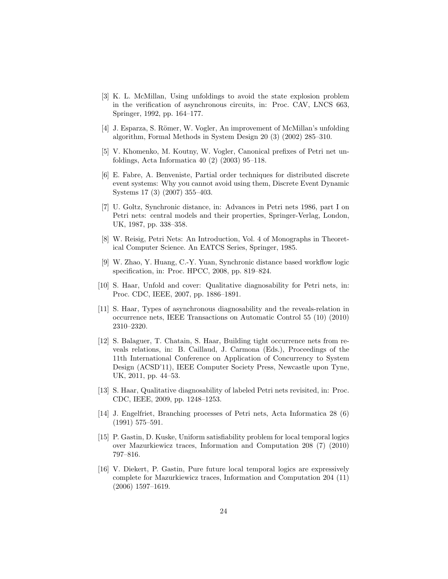- [3] K. L. McMillan, Using unfoldings to avoid the state explosion problem in the verification of asynchronous circuits, in: Proc. CAV, LNCS 663, Springer, 1992, pp. 164–177.
- [4] J. Esparza, S. Römer, W. Vogler, An improvement of McMillan's unfolding algorithm, Formal Methods in System Design 20 (3) (2002) 285–310.
- [5] V. Khomenko, M. Koutny, W. Vogler, Canonical prefixes of Petri net unfoldings, Acta Informatica 40 (2) (2003) 95–118.
- [6] E. Fabre, A. Benveniste, Partial order techniques for distributed discrete event systems: Why you cannot avoid using them, Discrete Event Dynamic Systems 17 (3) (2007) 355–403.
- [7] U. Goltz, Synchronic distance, in: Advances in Petri nets 1986, part I on Petri nets: central models and their properties, Springer-Verlag, London, UK, 1987, pp. 338–358.
- [8] W. Reisig, Petri Nets: An Introduction, Vol. 4 of Monographs in Theoretical Computer Science. An EATCS Series, Springer, 1985.
- [9] W. Zhao, Y. Huang, C.-Y. Yuan, Synchronic distance based workflow logic specification, in: Proc. HPCC, 2008, pp. 819–824.
- [10] S. Haar, Unfold and cover: Qualitative diagnosability for Petri nets, in: Proc. CDC, IEEE, 2007, pp. 1886–1891.
- [11] S. Haar, Types of asynchronous diagnosability and the reveals-relation in occurrence nets, IEEE Transactions on Automatic Control 55 (10) (2010) 2310–2320.
- [12] S. Balaguer, T. Chatain, S. Haar, Building tight occurrence nets from reveals relations, in: B. Caillaud, J. Carmona (Eds.), Proceedings of the 11th International Conference on Application of Concurrency to System Design (ACSD'11), IEEE Computer Society Press, Newcastle upon Tyne, UK, 2011, pp. 44–53.
- [13] S. Haar, Qualitative diagnosability of labeled Petri nets revisited, in: Proc. CDC, IEEE, 2009, pp. 1248–1253.
- [14] J. Engelfriet, Branching processes of Petri nets, Acta Informatica 28 (6) (1991) 575–591.
- [15] P. Gastin, D. Kuske, Uniform satisfiability problem for local temporal logics over Mazurkiewicz traces, Information and Computation 208 (7) (2010) 797–816.
- [16] V. Diekert, P. Gastin, Pure future local temporal logics are expressively complete for Mazurkiewicz traces, Information and Computation 204 (11) (2006) 1597–1619.